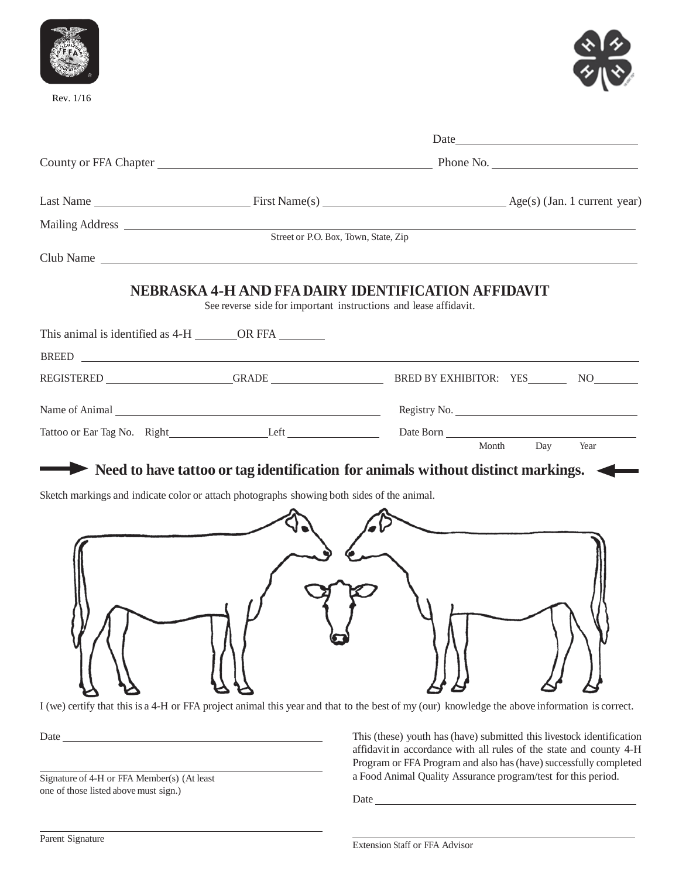

Rev. 1/16



|                                                           | Date<br><u> 1989 - Johann Harry Barn, mars ar breist fan de Fryske kommunent (</u>         |                                                                                  |  |
|-----------------------------------------------------------|--------------------------------------------------------------------------------------------|----------------------------------------------------------------------------------|--|
|                                                           |                                                                                            |                                                                                  |  |
|                                                           |                                                                                            |                                                                                  |  |
|                                                           |                                                                                            |                                                                                  |  |
|                                                           |                                                                                            |                                                                                  |  |
|                                                           | Club Name                                                                                  |                                                                                  |  |
|                                                           | See reverse side for important instructions and lease affidavit.                           | NEBRASKA 4-H AND FFA DAIRY IDENTIFICATION AFFIDAVIT                              |  |
| This animal is identified as 4-H ________ OR FFA ________ |                                                                                            |                                                                                  |  |
|                                                           |                                                                                            |                                                                                  |  |
|                                                           |                                                                                            | REGISTERED GRADE GRADE BRED BY EXHIBITOR: YES NO                                 |  |
|                                                           |                                                                                            | Registry No.                                                                     |  |
|                                                           |                                                                                            |                                                                                  |  |
|                                                           |                                                                                            | Day<br>Month<br>Year                                                             |  |
|                                                           |                                                                                            | Need to have tattoo or tag identification for animals without distinct markings. |  |
|                                                           | Sketch markings and indicate color or attach photographs showing both sides of the animal. |                                                                                  |  |
|                                                           |                                                                                            |                                                                                  |  |
|                                                           |                                                                                            |                                                                                  |  |
|                                                           |                                                                                            |                                                                                  |  |
|                                                           |                                                                                            |                                                                                  |  |

I (we) certify that this is a 4-H or FFA project animal this year and that to the best of my (our) knowledge the above information is correct.

Date

Signature of 4-H or FFA Member(s) (At least one of those listed above must sign.)

This (these) youth has(have) submitted this livestock identification affidavit in accordance with all rules of the state and county 4-H Program or FFA Program and also has (have) successfully completed a Food Animal Quality Assurance program/test for this period.

Date